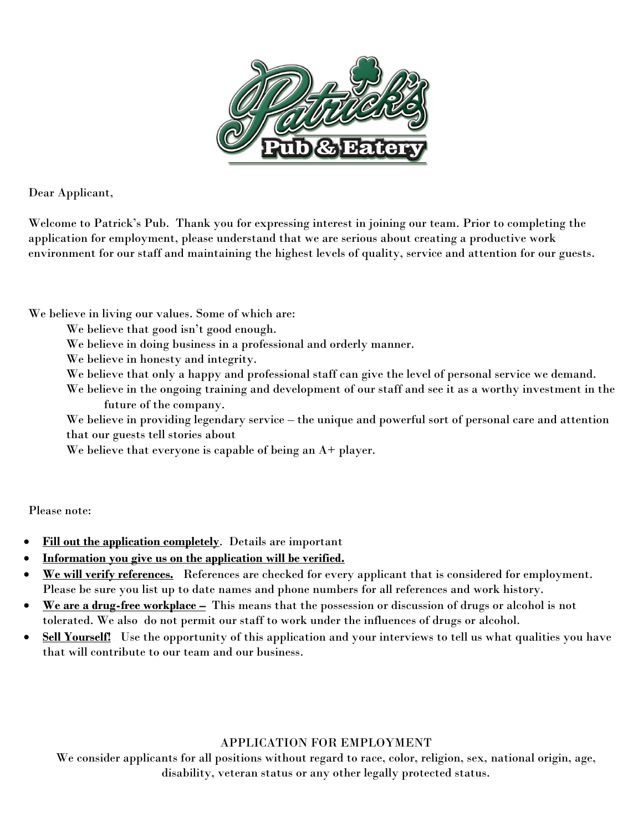

Dear Applicant,

Welcome to Patrick's Pub. Thank you for expressing interest in joining our team. Prior to completing the application for employment, please understand that we are serious about creating a productive work environment for our staff and maintaining the highest levels of quality, service and attention for our guests.

We believe in living our values. Some of which are:

We believe that good isn't good enough.

We believe in doing business in a professional and orderly manner.

We believe in honesty and integrity.

We believe that only a happy and professional staff can give the level of personal service we demand.

We believe in the ongoing training and development of our staff and see it as a worthy investment in the future of the company.

We believe in providing legendary service – the unique and powerful sort of personal care and attention that our guests tell stories about

We believe that everyone is capable of being an A+ player.

Please note:

- **Fill out the application completely**. Details are important
- **Information you give us on the application will be verified.**
- **We will verify references.** References are checked for every applicant that is considered for employment. Please be sure you list up to date names and phone numbers for all references and work history.
- **We are a drug-free workplace –** This means that the possession or discussion of drugs or alcohol is not tolerated. We also do not permit our staff to work under the influences of drugs or alcohol.
- Sell Yourself! Use the opportunity of this application and your interviews to tell us what qualities you have that will contribute to our team and our business.

### APPLICATION FOR EMPLOYMENT

We consider applicants for all positions without regard to race, color, religion, sex, national origin, age, disability, veteran status or any other legally protected status.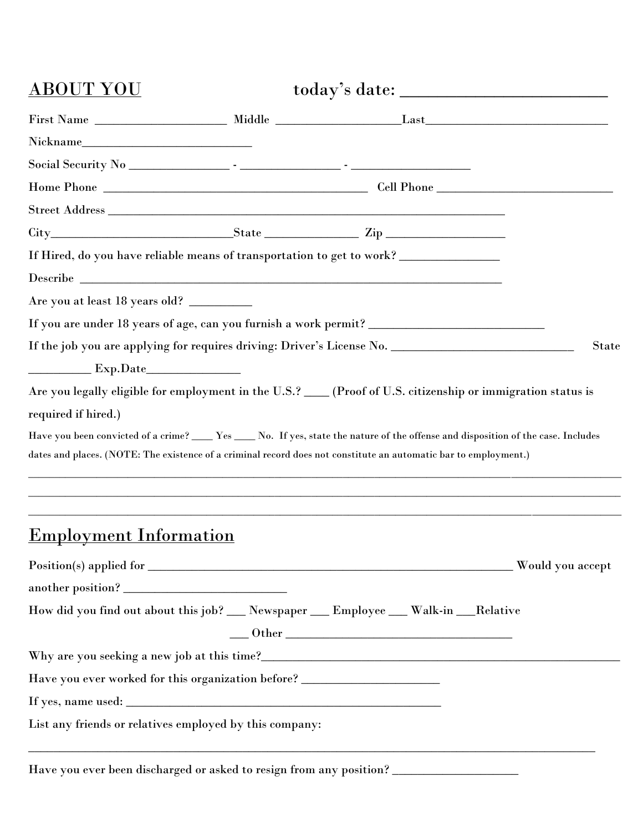| <u>ABOUT YOU</u>                                                                 |                                                                                                                                                                                                                                                           |       |  |
|----------------------------------------------------------------------------------|-----------------------------------------------------------------------------------------------------------------------------------------------------------------------------------------------------------------------------------------------------------|-------|--|
|                                                                                  |                                                                                                                                                                                                                                                           |       |  |
|                                                                                  |                                                                                                                                                                                                                                                           |       |  |
|                                                                                  |                                                                                                                                                                                                                                                           |       |  |
|                                                                                  |                                                                                                                                                                                                                                                           |       |  |
|                                                                                  |                                                                                                                                                                                                                                                           |       |  |
|                                                                                  | $\textrm{City}$ $\textrm{City}$ $\textrm{City}$ $\textrm{City}$ $\textrm{City}$ $\textrm{City}$                                                                                                                                                           |       |  |
|                                                                                  | If Hired, do you have reliable means of transportation to get to work?                                                                                                                                                                                    |       |  |
|                                                                                  |                                                                                                                                                                                                                                                           |       |  |
| Are you at least 18 years old? __________                                        |                                                                                                                                                                                                                                                           |       |  |
|                                                                                  |                                                                                                                                                                                                                                                           |       |  |
|                                                                                  |                                                                                                                                                                                                                                                           | State |  |
|                                                                                  |                                                                                                                                                                                                                                                           |       |  |
|                                                                                  |                                                                                                                                                                                                                                                           |       |  |
|                                                                                  | Are you legally eligible for employment in the U.S.? ____ (Proof of U.S. citizenship or immigration status is                                                                                                                                             |       |  |
|                                                                                  |                                                                                                                                                                                                                                                           |       |  |
| Exp.Date<br>required if hired.)                                                  |                                                                                                                                                                                                                                                           |       |  |
|                                                                                  | Have you been convicted of a crime? _____ Yes _____ No. If yes, state the nature of the offense and disposition of the case. Includes<br>dates and places. (NOTE: The existence of a criminal record does not constitute an automatic bar to employment.) |       |  |
|                                                                                  |                                                                                                                                                                                                                                                           |       |  |
|                                                                                  |                                                                                                                                                                                                                                                           |       |  |
|                                                                                  |                                                                                                                                                                                                                                                           |       |  |
| <u>Employment Information</u>                                                    |                                                                                                                                                                                                                                                           |       |  |
|                                                                                  |                                                                                                                                                                                                                                                           |       |  |
|                                                                                  |                                                                                                                                                                                                                                                           |       |  |
|                                                                                  | How did you find out about this job? __ Newspaper __ Employee __ Walk-in __Relative                                                                                                                                                                       |       |  |
|                                                                                  |                                                                                                                                                                                                                                                           |       |  |
|                                                                                  | $\underbrace{\hspace{2.5cm}}\text{Other}\,\, \underline{\hspace{2.5cm}}$                                                                                                                                                                                  |       |  |
|                                                                                  |                                                                                                                                                                                                                                                           |       |  |
| Have you ever worked for this organization before? _____________________________ |                                                                                                                                                                                                                                                           |       |  |

Have you ever been discharged or asked to resign from any position? \_\_\_\_\_\_\_\_\_\_\_\_\_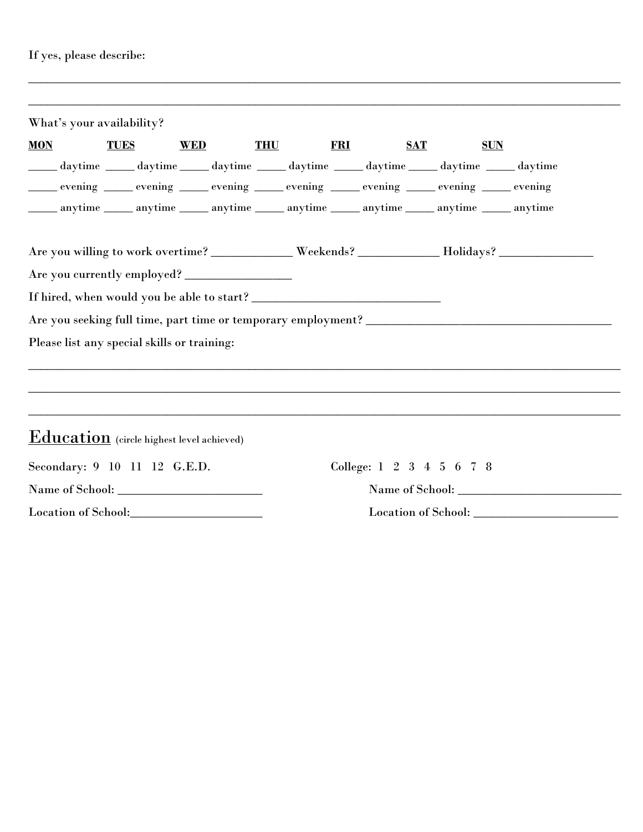## If yes, please describe:

| What's your availability? |                                             |            |                                                                                                        |                          |            |
|---------------------------|---------------------------------------------|------------|--------------------------------------------------------------------------------------------------------|--------------------------|------------|
| <b>MON</b>                | <b>TUES</b>                                 | <b>WED</b> | <b>THU</b><br><b>FRI</b>                                                                               | <b>SAT</b>               | <b>SUN</b> |
|                           |                                             |            | daytime ______ daytime _______ daytime _______ daytime _______ daytime _______ daytime _______ daytime |                          |            |
|                           |                                             |            | evening evening evening evening evening evening evening evening evening evening evening                |                          |            |
|                           |                                             |            | ______ anytime _______ anytime _______ anytime _______ anytime _______ anytime _______ anytime         |                          |            |
|                           |                                             |            | Are you willing to work overtime? __________ Weekends? __________ Holidays? ________________________   |                          |            |
|                           |                                             |            |                                                                                                        |                          |            |
|                           |                                             |            |                                                                                                        |                          |            |
|                           |                                             |            |                                                                                                        |                          |            |
|                           | Please list any special skills or training: |            |                                                                                                        |                          |            |
|                           |                                             |            |                                                                                                        |                          |            |
|                           |                                             |            |                                                                                                        |                          |            |
|                           |                                             |            |                                                                                                        |                          |            |
|                           | $Education$ (circle highest level achieved) |            |                                                                                                        |                          |            |
|                           | Secondary: 9 10 11 12 G.E.D.                |            |                                                                                                        | College: 1 2 3 4 5 6 7 8 |            |
|                           |                                             |            |                                                                                                        |                          |            |
|                           | Location of School:                         |            |                                                                                                        |                          |            |

\_\_\_\_\_\_\_\_\_\_\_\_\_\_\_\_\_\_\_\_\_\_\_\_\_\_\_\_\_\_\_\_\_\_\_\_\_\_\_\_\_\_\_\_\_\_\_\_\_\_\_\_\_\_\_\_\_\_\_\_\_\_\_\_\_\_\_\_\_\_\_\_\_\_\_\_\_\_\_\_\_\_\_\_\_\_\_\_\_\_\_\_\_\_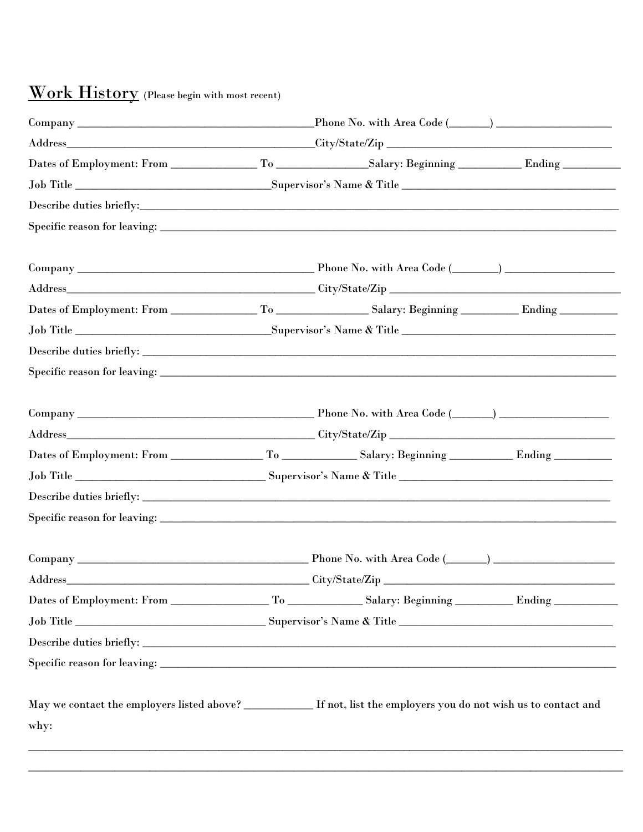# Work History (Please begin with most recent)

| Address | City/State/Zip<br><u> 1980 - Johann Stein, marwolaethau a bhann an t-Amhair an t-Amhair an t-Amhair an t-Amhair an t-Amhair an t-A</u> |  |  |  |  |  |
|---------|----------------------------------------------------------------------------------------------------------------------------------------|--|--|--|--|--|
|         |                                                                                                                                        |  |  |  |  |  |
|         |                                                                                                                                        |  |  |  |  |  |
|         |                                                                                                                                        |  |  |  |  |  |
|         |                                                                                                                                        |  |  |  |  |  |
| why:    | May we contact the employers listed above? _________ If not, list the employers you do not wish us to contact and                      |  |  |  |  |  |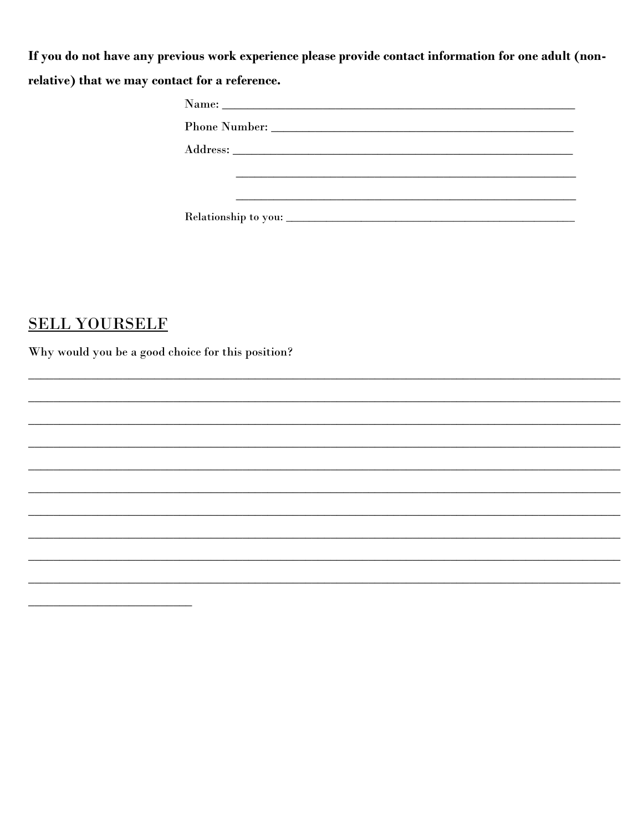If you do not have any previous work experience please provide contact information for one adult (nonrelative) that we may contact for a reference.

| Phone Number: |  |  |
|---------------|--|--|
|               |  |  |
|               |  |  |
|               |  |  |
|               |  |  |

### **SELL YOURSELF**

Why would you be a good choice for this position?